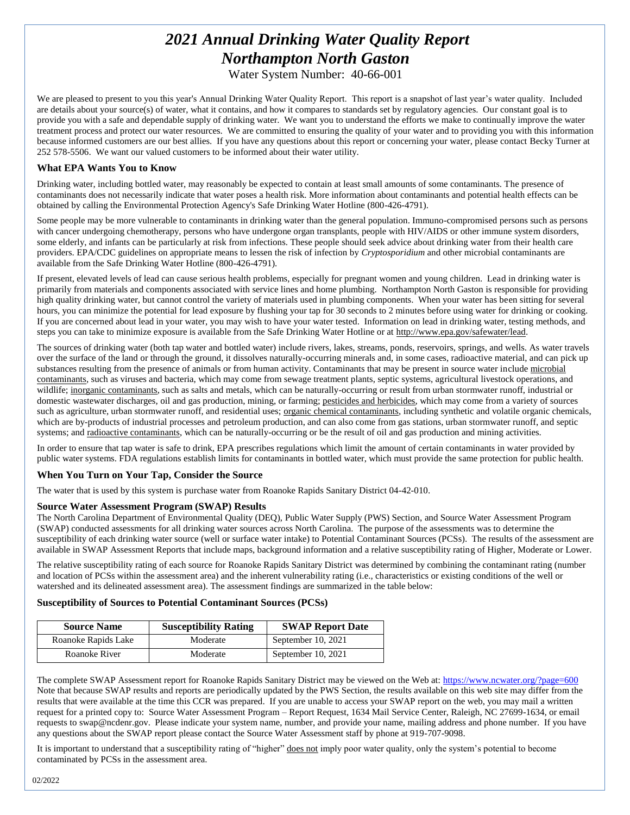# *2021 Annual Drinking Water Quality Report Northampton North Gaston*

Water System Number: 40-66-001

We are pleased to present to you this year's Annual Drinking Water Quality Report. This report is a snapshot of last year's water quality. Included are details about your source(s) of water, what it contains, and how it compares to standards set by regulatory agencies. Our constant goal is to provide you with a safe and dependable supply of drinking water. We want you to understand the efforts we make to continually improve the water treatment process and protect our water resources. We are committed to ensuring the quality of your water and to providing you with this information because informed customers are our best allies. If you have any questions about this report or concerning your water, please contact Becky Turner at 252 578-5506. We want our valued customers to be informed about their water utility.

#### **What EPA Wants You to Know**

Drinking water, including bottled water, may reasonably be expected to contain at least small amounts of some contaminants. The presence of contaminants does not necessarily indicate that water poses a health risk. More information about contaminants and potential health effects can be obtained by calling the Environmental Protection Agency's Safe Drinking Water Hotline (800-426-4791).

Some people may be more vulnerable to contaminants in drinking water than the general population. Immuno-compromised persons such as persons with cancer undergoing chemotherapy, persons who have undergone organ transplants, people with HIV/AIDS or other immune system disorders, some elderly, and infants can be particularly at risk from infections. These people should seek advice about drinking water from their health care providers. EPA/CDC guidelines on appropriate means to lessen the risk of infection by *Cryptosporidium* and other microbial contaminants are available from the Safe Drinking Water Hotline (800-426-4791).

If present, elevated levels of lead can cause serious health problems, especially for pregnant women and young children. Lead in drinking water is primarily from materials and components associated with service lines and home plumbing. Northampton North Gaston is responsible for providing high quality drinking water, but cannot control the variety of materials used in plumbing components. When your water has been sitting for several hours, you can minimize the potential for lead exposure by flushing your tap for 30 seconds to 2 minutes before using water for drinking or cooking. If you are concerned about lead in your water, you may wish to have your water tested. Information on lead in drinking water, testing methods, and steps you can take to minimize exposure is available from the Safe Drinking Water Hotline or at [http://www.epa.gov/safewater/lead.](http://www.epa.gov/safewater/lead)

The sources of drinking water (both tap water and bottled water) include rivers, lakes, streams, ponds, reservoirs, springs, and wells. As water travels over the surface of the land or through the ground, it dissolves naturally-occurring minerals and, in some cases, radioactive material, and can pick up substances resulting from the presence of animals or from human activity. Contaminants that may be present in source water include microbial contaminants, such as viruses and bacteria, which may come from sewage treatment plants, septic systems, agricultural livestock operations, and wildlife; inorganic contaminants, such as salts and metals, which can be naturally-occurring or result from urban stormwater runoff, industrial or domestic wastewater discharges, oil and gas production, mining, or farming; pesticides and herbicides, which may come from a variety of sources such as agriculture, urban stormwater runoff, and residential uses; organic chemical contaminants, including synthetic and volatile organic chemicals, which are by-products of industrial processes and petroleum production, and can also come from gas stations, urban stormwater runoff, and septic systems; and radioactive contaminants, which can be naturally-occurring or be the result of oil and gas production and mining activities.

In order to ensure that tap water is safe to drink, EPA prescribes regulations which limit the amount of certain contaminants in water provided by public water systems. FDA regulations establish limits for contaminants in bottled water, which must provide the same protection for public health.

#### **When You Turn on Your Tap, Consider the Source**

The water that is used by this system is purchase water from Roanoke Rapids Sanitary District 04-42-010.

#### **Source Water Assessment Program (SWAP) Results**

The North Carolina Department of Environmental Quality (DEQ), Public Water Supply (PWS) Section, and Source Water Assessment Program (SWAP) conducted assessments for all drinking water sources across North Carolina. The purpose of the assessments was to determine the susceptibility of each drinking water source (well or surface water intake) to Potential Contaminant Sources (PCSs). The results of the assessment are available in SWAP Assessment Reports that include maps, background information and a relative susceptibility rating of Higher, Moderate or Lower.

The relative susceptibility rating of each source for Roanoke Rapids Sanitary District was determined by combining the contaminant rating (number and location of PCSs within the assessment area) and the inherent vulnerability rating (i.e., characteristics or existing conditions of the well or watershed and its delineated assessment area). The assessment findings are summarized in the table below:

#### **Susceptibility of Sources to Potential Contaminant Sources (PCSs)**

| <b>Source Name</b>  | <b>Susceptibility Rating</b> | <b>SWAP Report Date</b> |  |  |
|---------------------|------------------------------|-------------------------|--|--|
| Roanoke Rapids Lake | Moderate                     | September 10, 2021      |  |  |
| Roanoke River       | Moderate                     | September 10, $2021$    |  |  |

The complete SWAP Assessment report for Roanoke Rapids Sanitary District may be viewed on the Web at[: https://www.ncwater.org/?page=600](https://www.ncwater.org/?page=600) Note that because SWAP results and reports are periodically updated by the PWS Section, the results available on this web site may differ from the results that were available at the time this CCR was prepared. If you are unable to access your SWAP report on the web, you may mail a written request for a printed copy to: Source Water Assessment Program – Report Request, 1634 Mail Service Center, Raleigh, NC 27699-1634, or email requests to swap@ncdenr.gov. Please indicate your system name, number, and provide your name, mailing address and phone number. If you have any questions about the SWAP report please contact the Source Water Assessment staff by phone at 919-707-9098.

It is important to understand that a susceptibility rating of "higher" does not imply poor water quality, only the system's potential to become contaminated by PCSs in the assessment area.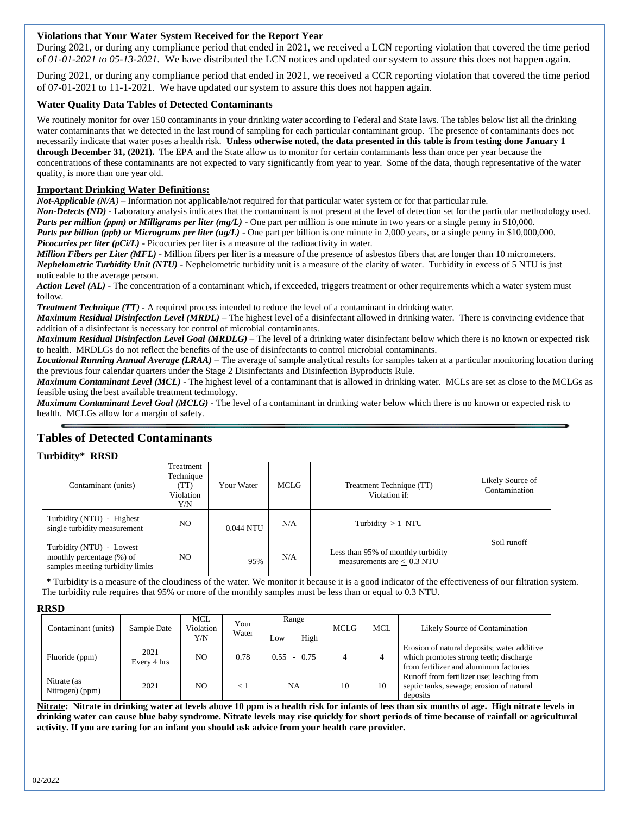#### **Violations that Your Water System Received for the Report Year**

During 2021, or during any compliance period that ended in 2021, we received a LCN reporting violation that covered the time period of *01-01-2021 to 05-13-2021.* We have distributed the LCN notices and updated our system to assure this does not happen again.

During 2021, or during any compliance period that ended in 2021, we received a CCR reporting violation that covered the time period of 07-01-2021 to 11-1-2021*.* We have updated our system to assure this does not happen again.

#### **Water Quality Data Tables of Detected Contaminants**

We routinely monitor for over 150 contaminants in your drinking water according to Federal and State laws. The tables below list all the drinking water contaminants that we detected in the last round of sampling for each particular contaminant group. The presence of contaminants does not necessarily indicate that water poses a health risk. **Unless otherwise noted, the data presented in this table is from testing done January 1 through December 31, (2021).** The EPA and the State allow us to monitor for certain contaminants less than once per year because the concentrations of these contaminants are not expected to vary significantly from year to year. Some of the data, though representative of the water quality, is more than one year old.

#### **Important Drinking Water Definitions:**

*Not-Applicable (N/A)* – Information not applicable/not required for that particular water system or for that particular rule.

*Non-Detects (ND)* - Laboratory analysis indicates that the contaminant is not present at the level of detection set for the particular methodology used. *Parts per million (ppm) or Milligrams per liter (mg/L)* - One part per million is one minute in two years or a single penny in \$10,000.

*Parts per billion (ppb) or Micrograms per liter (ug/L)* - One part per billion is one minute in 2,000 years, or a single penny in \$10,000,000.

*Picocuries per liter (pCi/L)* - Picocuries per liter is a measure of the radioactivity in water.

*Million Fibers per Liter (MFL)* - Million fibers per liter is a measure of the presence of asbestos fibers that are longer than 10 micrometers. *Nephelometric Turbidity Unit (NTU)* - Nephelometric turbidity unit is a measure of the clarity of water. Turbidity in excess of 5 NTU is just noticeable to the average person.

*Action Level* (*AL*) - The concentration of a contaminant which, if exceeded, triggers treatment or other requirements which a water system must follow.

*Treatment Technique (TT)* **-** A required process intended to reduce the level of a contaminant in drinking water.

*Maximum Residual Disinfection Level (MRDL)* – The highest level of a disinfectant allowed in drinking water. There is convincing evidence that addition of a disinfectant is necessary for control of microbial contaminants.

*Maximum Residual Disinfection Level Goal (MRDLG)* – The level of a drinking water disinfectant below which there is no known or expected risk to health. MRDLGs do not reflect the benefits of the use of disinfectants to control microbial contaminants.

*Locational Running Annual Average (LRAA)* – The average of sample analytical results for samples taken at a particular monitoring location during the previous four calendar quarters under the Stage 2 Disinfectants and Disinfection Byproducts Rule.

*Maximum Contaminant Level (MCL)* - The highest level of a contaminant that is allowed in drinking water. MCLs are set as close to the MCLGs as feasible using the best available treatment technology.

*Maximum Contaminant Level Goal (MCLG)* - The level of a contaminant in drinking water below which there is no known or expected risk to health. MCLGs allow for a margin of safety.

### **Tables of Detected Contaminants**

## **Turbidity\* RRSD**

| * ** *****<br>******                                                                             |                                                    |            |             |                                                                    |                                   |
|--------------------------------------------------------------------------------------------------|----------------------------------------------------|------------|-------------|--------------------------------------------------------------------|-----------------------------------|
| Contaminant (units)                                                                              | Treatment<br>Technique<br>(TT)<br>Violation<br>Y/N | Your Water | <b>MCLG</b> | Treatment Technique (TT)<br>Violation if:                          | Likely Source of<br>Contamination |
| Turbidity (NTU) - Highest<br>single turbidity measurement                                        | NO.                                                | 0.044 NTU  | N/A         | Turbidity $>1$ NTU                                                 |                                   |
| Turbidity (NTU) - Lowest<br>monthly percentage (%) of<br>NO.<br>samples meeting turbidity limits |                                                    | 95%        | N/A         | Less than 95% of monthly turbidity<br>measurements are $< 0.3$ NTU | Soil runoff                       |

 **\*** Turbidity is a measure of the cloudiness of the water. We monitor it because it is a good indicator of the effectiveness of our filtration system. The turbidity rule requires that 95% or more of the monthly samples must be less than or equal to 0.3 NTU.

#### **RRSD**

| Contaminant (units)            | Sample Date         | MCL<br>Violation<br>Y/N | Your<br>Water | Range<br>High<br>Low | <b>MCLG</b> | MCL | Likely Source of Contamination                                                                                                  |
|--------------------------------|---------------------|-------------------------|---------------|----------------------|-------------|-----|---------------------------------------------------------------------------------------------------------------------------------|
| Fluoride (ppm)                 | 2021<br>Every 4 hrs | NO.                     | 0.78          | $0.55 - 0.75$        |             | 4   | Erosion of natural deposits; water additive<br>which promotes strong teeth; discharge<br>from fertilizer and aluminum factories |
| Nitrate (as<br>Nitrogen) (ppm) | 2021                | NO.                     | $\lt 1$       | NA                   | 10          | 10  | Runoff from fertilizer use; leaching from<br>septic tanks, sewage; erosion of natural<br>deposits                               |

**Nitrate: Nitrate in drinking water at levels above 10 ppm is a health risk for infants of less than six months of age. High nitrate levels in drinking water can cause blue baby syndrome. Nitrate levels may rise quickly for short periods of time because of rainfall or agricultural activity. If you are caring for an infant you should ask advice from your health care provider.**